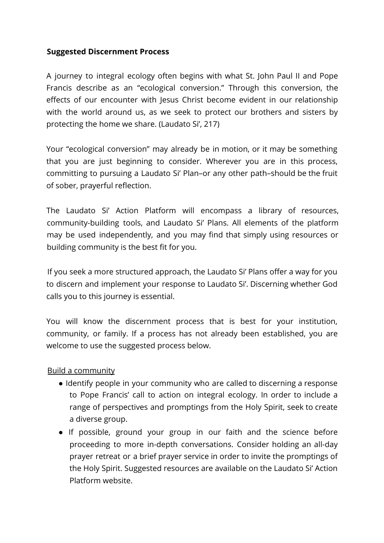# **Suggested Discernment Process**

A journey to integral ecology often begins with what St. John Paul II and Pope Francis describe as an "ecological conversion." Through this conversion, the effects of our encounter with Jesus Christ become evident in our relationship with the world around us, as we seek to protect our brothers and sisters by protecting the home we share. (Laudato Si', 217)

Your "ecological conversion" may already be in motion, or it may be something that you are just beginning to consider. Wherever you are in this process, committing to pursuing a Laudato Si' Plan–or any other path–should be the fruit of sober, prayerful reflection.

The Laudato Si' Action Platform will encompass a library of resources, community-building tools, and Laudato Si' Plans. All elements of the platform may be used independently, and you may find that simply using resources or building community is the best fit for you.

If you seek a more structured approach, the Laudato Si' Plans offer a way for you to discern and implement your response to Laudato Si'. Discerning whether God calls you to this journey is essential.

You will know the discernment process that is best for your institution, community, or family. If a process has not already been established, you are welcome to use the suggested process below.

#### Build a community

- Identify people in your community who are called to discerning a response to Pope Francis' call to action on integral ecology. In order to include a range of perspectives and promptings from the Holy Spirit, seek to create a diverse group.
- If possible, ground your group in our faith and the science before proceeding to more in-depth conversations. Consider holding an all-day prayer retreat or a brief prayer service in order to invite the promptings of the Holy Spirit. Suggested resources are available on the Laudato Si' Action Platform website.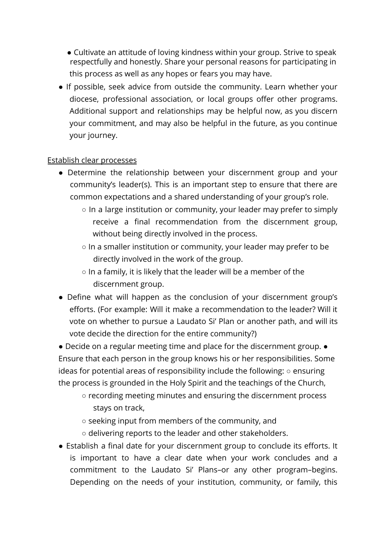- Cultivate an attitude of loving kindness within your group. Strive to speak respectfully and honestly. Share your personal reasons for participating in this process as well as any hopes or fears you may have.
- If possible, seek advice from outside the community. Learn whether your diocese, professional association, or local groups offer other programs. Additional support and relationships may be helpful now, as you discern your commitment, and may also be helpful in the future, as you continue your journey.

### Establish clear processes

- Determine the relationship between your discernment group and your community's leader(s). This is an important step to ensure that there are common expectations and a shared understanding of your group's role.
	- In a large institution or community, your leader may prefer to simply receive a final recommendation from the discernment group, without being directly involved in the process.
	- In a smaller institution or community, your leader may prefer to be directly involved in the work of the group.
	- $\circ$  In a family, it is likely that the leader will be a member of the discernment group.
- Define what will happen as the conclusion of your discernment group's efforts. (For example: Will it make a recommendation to the leader? Will it vote on whether to pursue a Laudato Si' Plan or another path, and will its vote decide the direction for the entire community?)

● Decide on a regular meeting time and place for the discernment group. ● Ensure that each person in the group knows his or her responsibilities. Some ideas for potential areas of responsibility include the following: ○ ensuring the process is grounded in the Holy Spirit and the teachings of the Church,

- recording meeting minutes and ensuring the discernment process stays on track,
- seeking input from members of the community, and
- delivering reports to the leader and other stakeholders.
- Establish a final date for your discernment group to conclude its efforts. It is important to have a clear date when your work concludes and a commitment to the Laudato Si' Plans–or any other program–begins. Depending on the needs of your institution, community, or family, this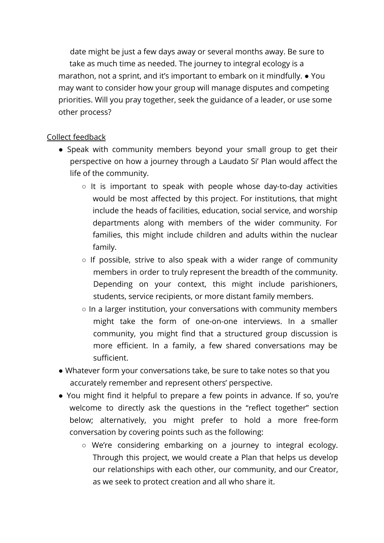date might be just a few days away or several months away. Be sure to take as much time as needed. The journey to integral ecology is a marathon, not a sprint, and it's important to embark on it mindfully. ● You may want to consider how your group will manage disputes and competing priorities. Will you pray together, seek the guidance of a leader, or use some other process?

# Collect feedback

- Speak with community members beyond your small group to get their perspective on how a journey through a Laudato Si' Plan would affect the life of the community.
	- $\circ$  It is important to speak with people whose day-to-day activities would be most affected by this project. For institutions, that might include the heads of facilities, education, social service, and worship departments along with members of the wider community. For families, this might include children and adults within the nuclear family.
	- $\circ$  If possible, strive to also speak with a wider range of community members in order to truly represent the breadth of the community. Depending on your context, this might include parishioners, students, service recipients, or more distant family members.
	- In a larger institution, your conversations with community members might take the form of one-on-one interviews. In a smaller community, you might find that a structured group discussion is more efficient. In a family, a few shared conversations may be sufficient.
- Whatever form your conversations take, be sure to take notes so that you accurately remember and represent others' perspective.
- You might find it helpful to prepare a few points in advance. If so, you're welcome to directly ask the questions in the "reflect together" section below; alternatively, you might prefer to hold a more free-form conversation by covering points such as the following:
	- We're considering embarking on a journey to integral ecology. Through this project, we would create a Plan that helps us develop our relationships with each other, our community, and our Creator, as we seek to protect creation and all who share it.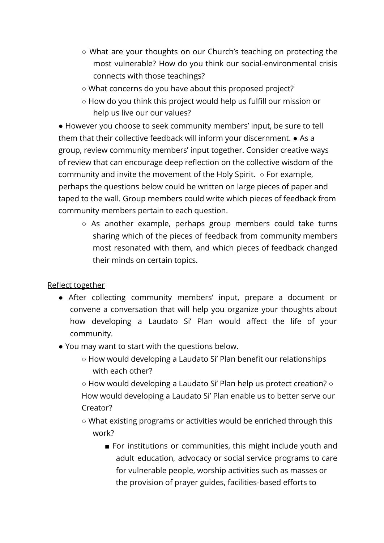- What are your thoughts on our Church's teaching on protecting the most vulnerable? How do you think our social-environmental crisis connects with those teachings?
- What concerns do you have about this proposed project?
- How do you think this project would help us fulfill our mission or help us live our our values?

● However you choose to seek community members' input, be sure to tell them that their collective feedback will inform your discernment. ● As a group, review community members' input together. Consider creative ways of review that can encourage deep reflection on the collective wisdom of the community and invite the movement of the Holy Spirit.  $\circ$  For example, perhaps the questions below could be written on large pieces of paper and taped to the wall. Group members could write which pieces of feedback from community members pertain to each question.

○ As another example, perhaps group members could take turns sharing which of the pieces of feedback from community members most resonated with them, and which pieces of feedback changed their minds on certain topics.

Reflect together

- After collecting community members' input, prepare a document or convene a conversation that will help you organize your thoughts about how developing a Laudato Si' Plan would affect the life of your community.
- You may want to start with the questions below.
	- How would developing a Laudato Si' Plan benefit our relationships with each other?
	- How would developing a Laudato Si' Plan help us protect creation? How would developing a Laudato Si' Plan enable us to better serve our Creator?
	- What existing programs or activities would be enriched through this work?
		- For institutions or communities, this might include youth and adult education, advocacy or social service programs to care for vulnerable people, worship activities such as masses or the provision of prayer guides, facilities-based efforts to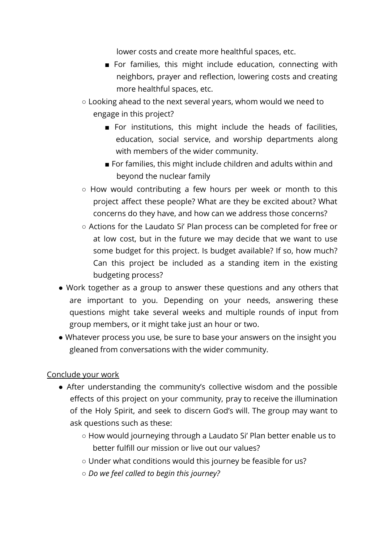lower costs and create more healthful spaces, etc.

- For families, this might include education, connecting with neighbors, prayer and reflection, lowering costs and creating more healthful spaces, etc.
- Looking ahead to the next several years, whom would we need to engage in this project?
	- For institutions, this might include the heads of facilities, education, social service, and worship departments along with members of the wider community.
	- For families, this might include children and adults within and beyond the nuclear family
- How would contributing a few hours per week or month to this project affect these people? What are they be excited about? What concerns do they have, and how can we address those concerns?
- Actions for the Laudato Si' Plan process can be completed for free or at low cost, but in the future we may decide that we want to use some budget for this project. Is budget available? If so, how much? Can this project be included as a standing item in the existing budgeting process?
- Work together as a group to answer these questions and any others that are important to you. Depending on your needs, answering these questions might take several weeks and multiple rounds of input from group members, or it might take just an hour or two.
- Whatever process you use, be sure to base your answers on the insight you gleaned from conversations with the wider community.

# Conclude your work

- After understanding the community's collective wisdom and the possible effects of this project on your community, pray to receive the illumination of the Holy Spirit, and seek to discern God's will. The group may want to ask questions such as these:
	- How would journeying through a Laudato Si' Plan better enable us to better fulfill our mission or live out our values?
	- Under what conditions would this journey be feasible for us?
	- *Do we feel called to begin this journey?*